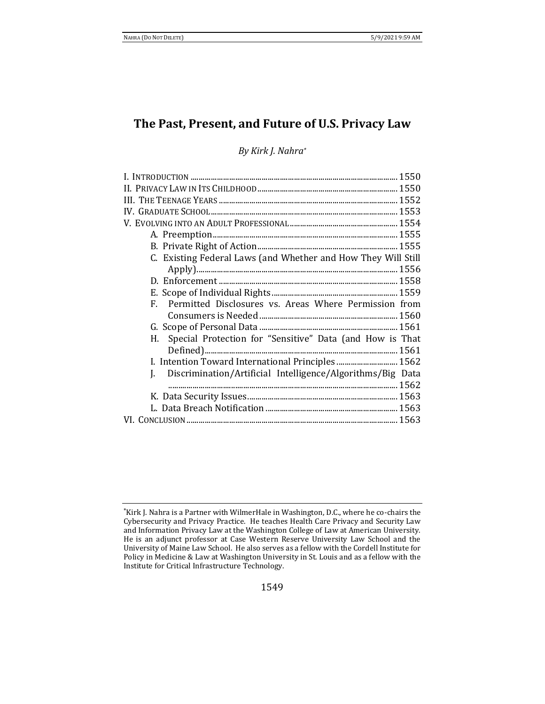# **The Past, Present, and Future of U.S. Privacy Law**

## *By Kirk J. Nahra\**

| C. Existing Federal Laws (and Whether and How They Will Still  |  |
|----------------------------------------------------------------|--|
|                                                                |  |
|                                                                |  |
|                                                                |  |
| F. Permitted Disclosures vs. Areas Where Permission from       |  |
|                                                                |  |
|                                                                |  |
| Special Protection for "Sensitive" Data (and How is That<br>Н. |  |
|                                                                |  |
| I. Intention Toward International Principles  1562             |  |
| J. Discrimination/Artificial Intelligence/Algorithms/Big Data  |  |
|                                                                |  |
|                                                                |  |
|                                                                |  |
|                                                                |  |

<sup>\*</sup>Kirk J. Nahra is a Partner with WilmerHale in Washington, D.C., where he co-chairs the Cybersecurity and Privacy Practice. He teaches Health Care Privacy and Security Law and Information Privacy Law at the Washington College of Law at American University. He is an adjunct professor at Case Western Reserve University Law School and the University of Maine Law School. He also serves as a fellow with the Cordell Institute for Policy in Medicine & Law at Washington University in St. Louis and as a fellow with the Institute for Critical Infrastructure Technology.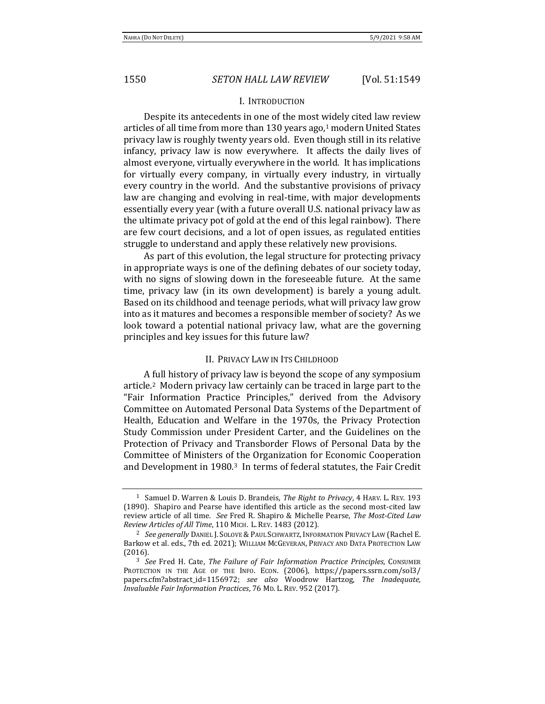#### I. INTRODUCTION

Despite its antecedents in one of the most widely cited law review articles of all time from more than 130 years ago,<sup>1</sup> modern United States privacy law is roughly twenty years old. Even though still in its relative infancy, privacy law is now everywhere. It affects the daily lives of almost everyone, virtually everywhere in the world. It has implications for virtually every company, in virtually every industry, in virtually every country in the world. And the substantive provisions of privacy law are changing and evolving in real-time, with major developments essentially every year (with a future overall U.S. national privacy law as the ultimate privacy pot of gold at the end of this legal rainbow). There are few court decisions, and a lot of open issues, as regulated entities struggle to understand and apply these relatively new provisions.

As part of this evolution, the legal structure for protecting privacy in appropriate ways is one of the defining debates of our society today, with no signs of slowing down in the foreseeable future. At the same time, privacy law (in its own development) is barely a young adult. Based on its childhood and teenage periods, what will privacy law grow into as it matures and becomes a responsible member of society? As we look toward a potential national privacy law, what are the governing principles and key issues for this future law?

### II. PRIVACY LAW IN ITS CHILDHOOD

A full history of privacy law is beyond the scope of any symposium article.2 Modern privacy law certainly can be traced in large part to the "Fair Information Practice Principles," derived from the Advisory Committee on Automated Personal Data Systems of the Department of Health, Education and Welfare in the 1970s, the Privacy Protection Study Commission under President Carter, and the Guidelines on the Protection of Privacy and Transborder Flows of Personal Data by the Committee of Ministers of the Organization for Economic Cooperation and Development in 1980.3 In terms of federal statutes, the Fair Credit

<sup>1</sup> Samuel D. Warren & Louis D. Brandeis, *The Right to Privacy*, 4 HARV. L. REV. 193 (1890). Shapiro and Pearse have identified this article as the second most-cited law review article of all time. *See* Fred R. Shapiro & Michelle Pearse, *The Most-Cited Law Review Articles of All Time*, 110 MICH. L. REV. 1483 (2012).

<sup>&</sup>lt;sup>2</sup> See generally DANIEL J. SOLOVE & PAUL SCHWARTZ, INFORMATION PRIVACY LAW (Rachel E. Barkow et al. eds., 7th ed. 2021); WILLIAM MCGEVERAN, PRIVACY AND DATA PROTECTION LAW (2016).

<sup>3</sup> *See* Fred H. Cate, *The Failure of Fair Information Practice Principles*, CONSUMER PROTECTION IN THE AGE OF THE INFO. ECON. (2006), https://papers.ssrn.com/sol3/ papers.cfm?abstract\_id=1156972; *see also* Woodrow Hartzog, *The Inadequate, Invaluable Fair Information Practices*, 76 MD. L. REV. 952 (2017).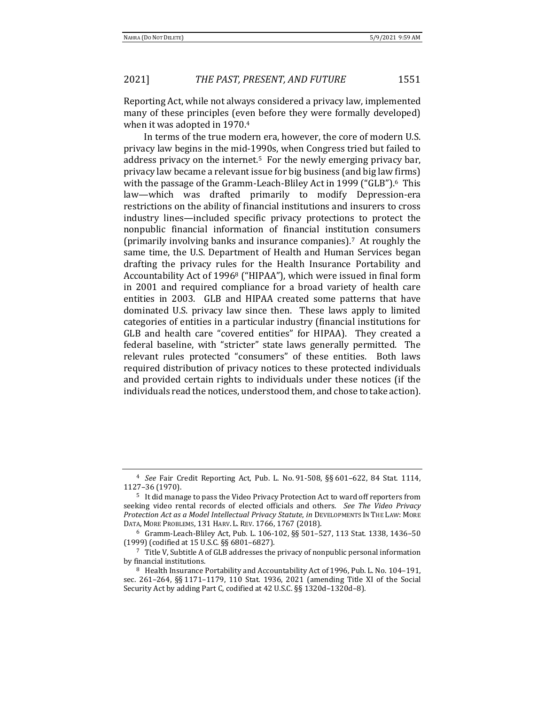Reporting Act, while not always considered a privacy law, implemented many of these principles (even before they were formally developed) when it was adopted in 1970.<sup>4</sup>

In terms of the true modern era, however, the core of modern U.S. privacy law begins in the mid-1990s, when Congress tried but failed to address privacy on the internet.<sup>5</sup> For the newly emerging privacy bar, privacy law became a relevant issue for big business (and big law firms) with the passage of the Gramm-Leach-Bliley Act in 1999 ("GLB").<sup>6</sup> This law—which was drafted primarily to modify Depression-era restrictions on the ability of financial institutions and insurers to cross industry lines—included specific privacy protections to protect the nonpublic financial information of financial institution consumers (primarily involving banks and insurance companies).7 At roughly the same time, the U.S. Department of Health and Human Services began drafting the privacy rules for the Health Insurance Portability and Accountability Act of 1996<sup>8</sup> ("HIPAA"), which were issued in final form in 2001 and required compliance for a broad variety of health care entities in 2003. GLB and HIPAA created some patterns that have dominated U.S. privacy law since then. These laws apply to limited categories of entities in a particular industry (financial institutions for GLB and health care "covered entities" for HIPAA). They created a federal baseline, with "stricter" state laws generally permitted. The relevant rules protected "consumers" of these entities. Both laws required distribution of privacy notices to these protected individuals and provided certain rights to individuals under these notices (if the individuals read the notices, understood them, and chose to take action).

<sup>4</sup> *See* Fair Credit Reporting Act, Pub. L. No. 91-508, §§ 601–622, 84 Stat. 1114, 1127–36 (1970).

<sup>5</sup> It did manage to pass the Video Privacy Protection Act to ward off reporters from seeking video rental records of elected officials and others. *See The Video Privacy Protection Act as a Model Intellectual Privacy Statute*, *in* DEVELOPMENTS IN THE LAW: MORE DATA, MORE PROBLEMS, 131 HARV. L. REV. 1766, 1767 (2018).

<sup>6</sup> Gramm-Leach-Bliley Act, Pub. L. 106-102, §§ 501–527, 113 Stat. 1338, 1436–50 (1999) (codified at 15 U.S.C. §§ 6801–6827).

<sup>7</sup> Title V, Subtitle A of GLB addresses the privacy of nonpublic personal information by financial institutions.

<sup>8</sup> Health Insurance Portability and Accountability Act of 1996, Pub. L. No. 104–191, sec. 261–264, §§ 1171–1179, 110 Stat. 1936, 2021 (amending Title XI of the Social Security Act by adding Part C, codified at 42 U.S.C. §§ 1320d–1320d–8).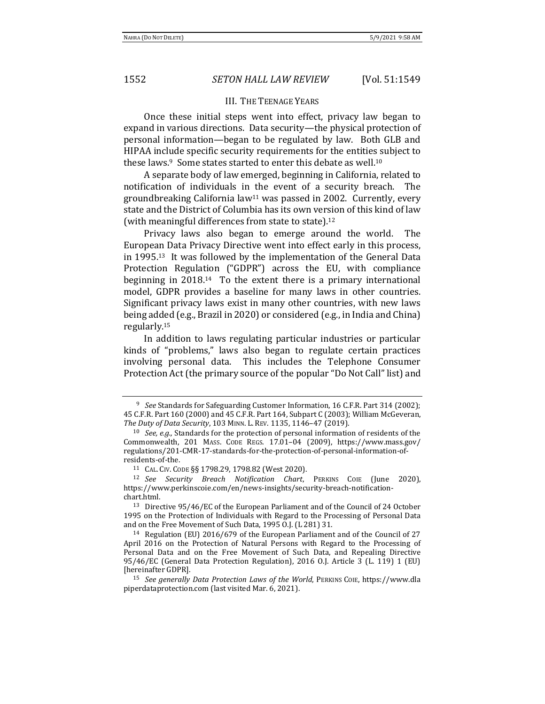#### III. THE TEENAGE YEARS

Once these initial steps went into effect, privacy law began to expand in various directions. Data security—the physical protection of personal information—began to be regulated by law. Both GLB and HIPAA include specific security requirements for the entities subject to these laws.<sup>9</sup> Some states started to enter this debate as well.<sup>10</sup>

A separate body of law emerged, beginning in California, related to notification of individuals in the event of a security breach. The groundbreaking California law<sup>11</sup> was passed in 2002. Currently, every state and the District of Columbia has its own version of this kind of law (with meaningful differences from state to state).<sup>12</sup>

Privacy laws also began to emerge around the world. The European Data Privacy Directive went into effect early in this process, in 1995.13 It was followed by the implementation of the General Data Protection Regulation ("GDPR") across the EU, with compliance beginning in 2018.14 To the extent there is a primary international model, GDPR provides a baseline for many laws in other countries. Significant privacy laws exist in many other countries, with new laws being added (e.g., Brazil in 2020) or considered (e.g., in India and China) regularly.<sup>15</sup>

In addition to laws regulating particular industries or particular kinds of "problems," laws also began to regulate certain practices involving personal data. This includes the Telephone Consumer Protection Act (the primary source of the popular "Do Not Call" list) and

<sup>9</sup> *See* Standards for Safeguarding Customer Information, 16 C.F.R. Part 314 (2002); 45 C.F.R. Part 160 (2000) and 45 C.F.R. Part 164, Subpart C (2003); William McGeveran, *The Duty of Data Security*, 103 MINN. L. REV. 1135, 1146–47 (2019).

<sup>10</sup> *See, e.g.,* Standards for the protection of personal information of residents of the Commonwealth, 201 MASS. CODE REGS. 17.01–04 (2009), https://www.mass.gov/ regulations/201-CMR-17-standards-for-the-protection-of-personal-information-ofresidents-of-the.

<sup>11</sup> CAL. CIV. CODE §§ 1798.29, 1798.82 (West 2020).

<sup>12</sup> *See Security Breach Notification Chart*, PERKINS COIE (June 2020), https://www.perkinscoie.com/en/news-insights/security-breach-notificationchart.html.

<sup>13</sup> Directive 95/46/EC of the European Parliament and of the Council of 24 October 1995 on the Protection of Individuals with Regard to the Processing of Personal Data and on the Free Movement of Such Data, 1995 O.J. (L 281) 31.

<sup>14</sup> Regulation (EU) 2016/679 of the European Parliament and of the Council of 27 April 2016 on the Protection of Natural Persons with Regard to the Processing of Personal Data and on the Free Movement of Such Data, and Repealing Directive 95/46/EC (General Data Protection Regulation), 2016 O.J. Article 3 (L. 119) 1 (EU) [hereinafter GDPR].

<sup>15</sup> *See generally Data Protection Laws of the World*, PERKINS COIE, https://www.dla piperdataprotection.com (last visited Mar. 6, 2021).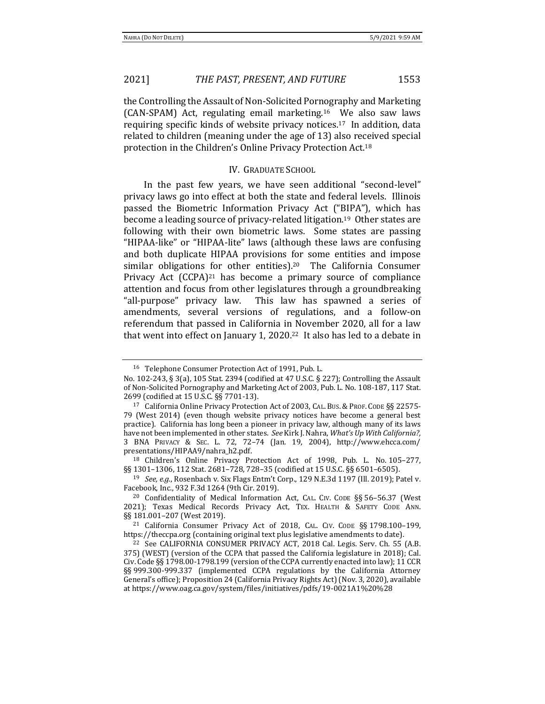the Controlling the Assault of Non-Solicited Pornography and Marketing (CAN-SPAM) Act, regulating email marketing.16 We also saw laws requiring specific kinds of website privacy notices.17 In addition, data related to children (meaning under the age of 13) also received special protection in the Children's Online Privacy Protection Act.<sup>18</sup>

### IV. GRADUATE SCHOOL

In the past few years, we have seen additional "second-level" privacy laws go into effect at both the state and federal levels. Illinois passed the Biometric Information Privacy Act ("BIPA"), which has become a leading source of privacy-related litigation.19 Other states are following with their own biometric laws. Some states are passing "HIPAA-like" or "HIPAA-lite" laws (although these laws are confusing and both duplicate HIPAA provisions for some entities and impose similar obligations for other entities).<sup>20</sup> The California Consumer Privacy Act (CCPA)<sup>21</sup> has become a primary source of compliance attention and focus from other legislatures through a groundbreaking "all-purpose" privacy law. This law has spawned a series of amendments, several versions of regulations, and a follow-on referendum that passed in California in November 2020, all for a law that went into effect on January 1, 2020.22 It also has led to a debate in

<sup>19</sup> *See, e.g.*, Rosenbach v. Six Flags Entm't Corp., 129 N.E.3d 1197 (Ill. 2019); Patel v. Facebook, Inc., 932 F.3d 1264 (9th Cir. 2019).

<sup>16</sup> Telephone Consumer Protection Act of 1991, Pub. L.

No. 102-243, § 3(a), 105 Stat. 2394 (codified at 47 U.S.C. § 227); Controlling the Assault of Non-Solicited Pornography and Marketing Act of 2003, Pub. L. No. 108-187, 117 Stat. 2699 (codified at 15 U.S.C. §§ 7701-13).

<sup>17</sup> California Online Privacy Protection Act of 2003, CAL. BUS.& PROF. CODE §§ 22575- 79 (West 2014) (even though website privacy notices have become a general best practice). California has long been a pioneer in privacy law, although many of its laws have not been implemented in other states. *See* Kirk J. Nahra, *What's Up With California?,* 3 BNA PRIVACY & SEC. L. 72, 72–74 (Jan. 19, 2004), http://www.ehcca.com/ presentations/HIPAA9/nahra\_h2.pdf.

<sup>18</sup> Children's Online Privacy Protection Act of 1998, Pub. L. No. 105–277, §§ 1301–1306, 112 Stat. 2681–728, 728–35 (codified at 15 U.S.C. §§ 6501–6505).

<sup>20</sup> Confidentiality of Medical Information Act, CAL. CIV. CODE §§ 56–56.37 (West 2021); Texas Medical Records Privacy Act, TEX. HEALTH & SAFETY CODE ANN. §§ 181.001–207 (West 2019).

<sup>21</sup> California Consumer Privacy Act of 2018, CAL. CIV. CODE §§ 1798.100–199, https://theccpa.org (containing original text plus legislative amendments to date).

<sup>22</sup> See CALIFORNIA CONSUMER PRIVACY ACT, 2018 Cal. Legis. Serv. Ch. 55 (A.B. 375) (WEST) (version of the CCPA that passed the California legislature in 2018); Cal. Civ. Code §§ 1798.00-1798.199 (version of the CCPA currently enacted into law); 11 CCR §§ 999.300-999.337 (implemented CCPA regulations by the California Attorney General's office); Proposition 24 (California Privacy Rights Act) (Nov. 3, 2020), available at https://www.oag.ca.gov/system/files/initiatives/pdfs/19-0021A1%20%28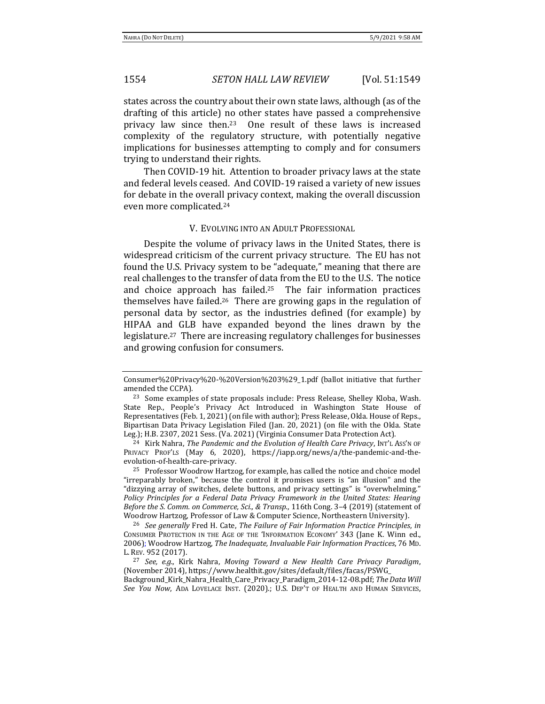states across the country about their own state laws, although (as of the drafting of this article) no other states have passed a comprehensive privacy law since then.23 One result of these laws is increased complexity of the regulatory structure, with potentially negative implications for businesses attempting to comply and for consumers trying to understand their rights.

Then COVID-19 hit. Attention to broader privacy laws at the state and federal levels ceased. And COVID-19 raised a variety of new issues for debate in the overall privacy context, making the overall discussion even more complicated.<sup>24</sup>

#### V. EVOLVING INTO AN ADULT PROFESSIONAL

Despite the volume of privacy laws in the United States, there is widespread criticism of the current privacy structure. The EU has not found the U.S. Privacy system to be "adequate," meaning that there are real challenges to the transfer of data from the EU to the U.S. The notice and choice approach has failed.25 The fair information practices themselves have failed.26 There are growing gaps in the regulation of personal data by sector, as the industries defined (for example) by HIPAA and GLB have expanded beyond the lines drawn by the legislature.27 There are increasing regulatory challenges for businesses and growing confusion for consumers.

Consumer%20Privacy%20-%20Version%203%29\_1.pdf (ballot initiative that further amended the CCPA).

<sup>&</sup>lt;sup>23</sup> Some examples of state proposals include: Press Release, Shelley Kloba, Wash. State Rep., People's Privacy Act Introduced in Washington State House of Representatives (Feb. 1, 2021) (on file with author); Press Release, Okla. House of Reps., Bipartisan Data Privacy Legislation Filed (Jan. 20, 2021) (on file with the Okla. State Leg.); H.B. 2307, 2021 Sess. (Va. 2021) (Virginia Consumer Data Protection Act).

<sup>24</sup> Kirk Nahra, *The Pandemic and the Evolution of Health Care Privacy*, INT'L ASS'N OF PRIVACY PROF'LS (May 6, 2020), https://iapp.org/news/a/the-pandemic-and-theevolution-of-health-care-privacy.

<sup>&</sup>lt;sup>25</sup> Professor Woodrow Hartzog, for example, has called the notice and choice model "irreparably broken," because the control it promises users is "an illusion" and the "dizzying array of switches, delete buttons, and privacy settings" is "overwhelming." *Policy Principles for a Federal Data Privacy Framework in the United States: Hearing Before the S. Comm. on Commerce, Sci., & Transp.*, 116th Cong. 3–4 (2019) (statement of Woodrow Hartzog, Professor of Law & Computer Science, Northeastern University).

<sup>26</sup> *See generally* Fred H. Cate, *The Failure of Fair Information Practice Principles*, *in* CONSUMER PROTECTION IN THE AGE OF THE 'INFORMATION ECONOMY' 343 (Jane K. Winn ed., 2006); Woodrow Hartzog, *The Inadequate, Invaluable Fair Information Practices*, 76 MD. L. REV. 952 (2017).

<sup>27</sup> *See, e.g.*, Kirk Nahra, *Moving Toward a New Health Care Privacy Paradigm*, (November 2014), https://www.healthit.gov/sites/default/files/facas/PSWG\_ Background\_Kirk\_Nahra\_Health\_Care\_Privacy\_Paradigm\_2014-12-08.pdf; *The Data Will* 

*See You Now*, ADA LOVELACE INST. (2020).; U.S. DEP'T OF HEALTH AND HUMAN SERVICES,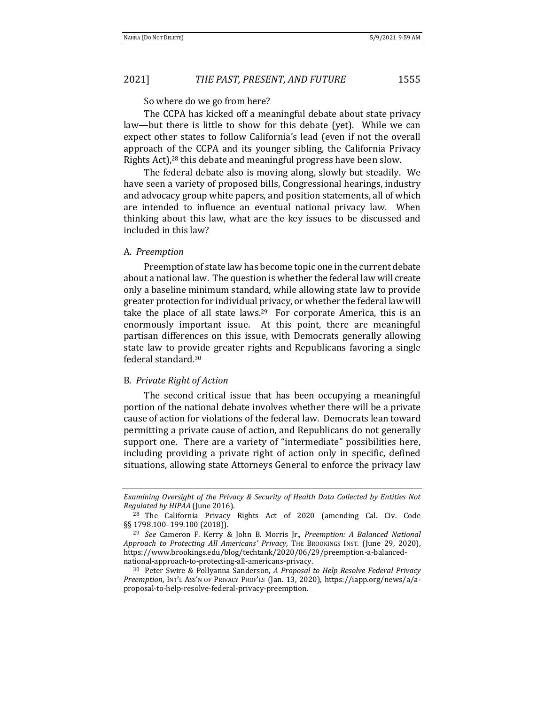So where do we go from here?

The CCPA has kicked off a meaningful debate about state privacy law—but there is little to show for this debate (yet). While we can expect other states to follow California's lead (even if not the overall approach of the CCPA and its younger sibling, the California Privacy Rights Act),<sup>28</sup> this debate and meaningful progress have been slow.

The federal debate also is moving along, slowly but steadily. We have seen a variety of proposed bills, Congressional hearings, industry and advocacy group white papers, and position statements, all of which are intended to influence an eventual national privacy law. When thinking about this law, what are the key issues to be discussed and included in this law?

### A. *Preemption*

Preemption of state law has become topic one in the current debate about a national law. The question is whether the federal law will create only a baseline minimum standard, while allowing state law to provide greater protection for individual privacy, or whether the federal law will take the place of all state laws.<sup>29</sup> For corporate America, this is an enormously important issue. At this point, there are meaningful partisan differences on this issue, with Democrats generally allowing state law to provide greater rights and Republicans favoring a single federal standard.<sup>30</sup>

### B. *Private Right of Action*

The second critical issue that has been occupying a meaningful portion of the national debate involves whether there will be a private cause of action for violations of the federal law. Democrats lean toward permitting a private cause of action, and Republicans do not generally support one. There are a variety of "intermediate" possibilities here, including providing a private right of action only in specific, defined situations, allowing state Attorneys General to enforce the privacy law

*Examining Oversight of the Privacy & Security of Health Data Collected by Entities Not Regulated by HIPAA* (June 2016).

<sup>28</sup> The California Privacy Rights Act of 2020 (amending Cal. Civ. Code §§ 1798.100-199.100 (2018)).

<sup>29</sup> *See* Cameron F. Kerry & John B. Morris Jr., *Preemption: A Balanced National Approach to Protecting All Americans' Privacy*, THE BROOKINGS INST. (June 29, 2020), https://www.brookings.edu/blog/techtank/2020/06/29/preemption-a-balancednational-approach-to-protecting-all-americans-privacy.

<sup>30</sup> Peter Swire & Pollyanna Sanderson, *A Proposal to Help Resolve Federal Privacy Preemption*, INT'L ASS'N OF PRIVACY PROF'LS (Jan. 13, 2020), https://iapp.org/news/a/aproposal-to-help-resolve-federal-privacy-preemption.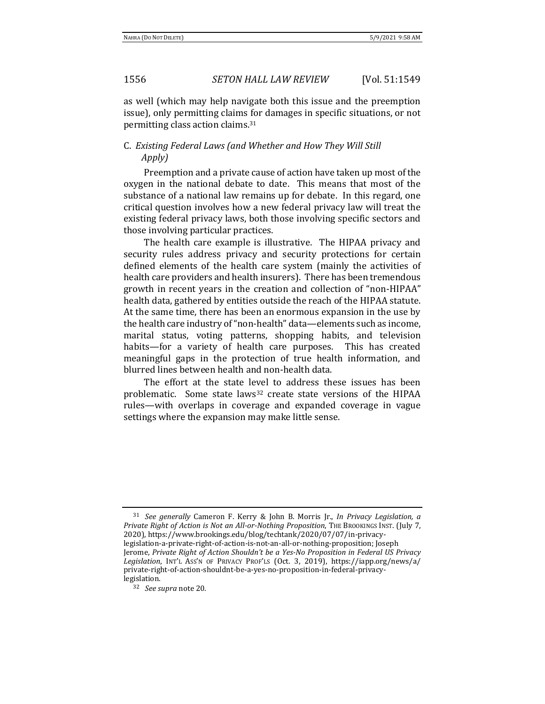as well (which may help navigate both this issue and the preemption issue), only permitting claims for damages in specific situations, or not permitting class action claims.<sup>31</sup>

## C. *Existing Federal Laws (and Whether and How They Will Still Apply)*

Preemption and a private cause of action have taken up most of the oxygen in the national debate to date. This means that most of the substance of a national law remains up for debate. In this regard, one critical question involves how a new federal privacy law will treat the existing federal privacy laws, both those involving specific sectors and those involving particular practices.

The health care example is illustrative. The HIPAA privacy and security rules address privacy and security protections for certain defined elements of the health care system (mainly the activities of health care providers and health insurers). There has been tremendous growth in recent years in the creation and collection of "non-HIPAA" health data, gathered by entities outside the reach of the HIPAA statute. At the same time, there has been an enormous expansion in the use by the health care industry of "non-health" data—elements such as income, marital status, voting patterns, shopping habits, and television habits—for a variety of health care purposes. This has created meaningful gaps in the protection of true health information, and blurred lines between health and non-health data.

The effort at the state level to address these issues has been problematic. Some state laws<sup>32</sup> create state versions of the HIPAA rules—with overlaps in coverage and expanded coverage in vague settings where the expansion may make little sense.

<sup>31</sup> *See generally* Cameron F. Kerry & John B. Morris Jr., *In Privacy Legislation, a Private Right of Action is Not an All-or-Nothing Proposition*, THE BROOKINGS INST. (July 7, 2020), https://www.brookings.edu/blog/techtank/2020/07/07/in-privacylegislation-a-private-right-of-action-is-not-an-all-or-nothing-proposition; Joseph Jerome, *Private Right of Action Shouldn't be a Yes-No Proposition in Federal US Privacy Legislation*, INT'L ASS'N OF PRIVACY PROF'LS (Oct. 3, 2019), https://iapp.org/news/a/ private-right-of-action-shouldnt-be-a-yes-no-proposition-in-federal-privacylegislation.

<sup>32</sup> *See supra* note 20.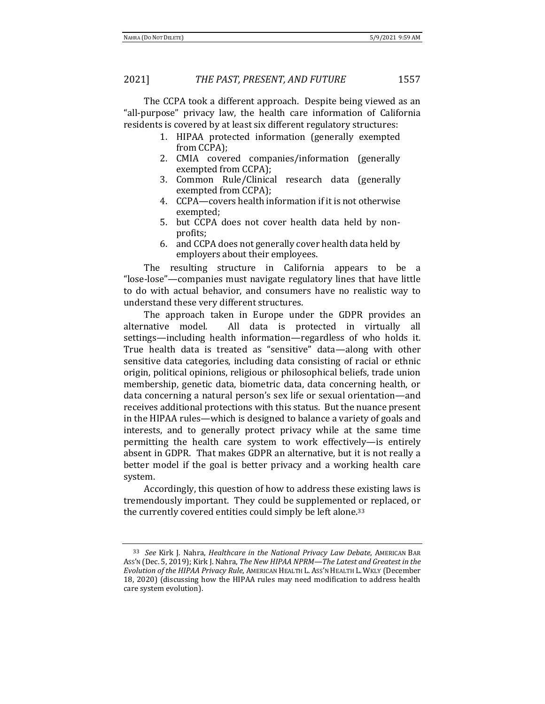The CCPA took a different approach. Despite being viewed as an "all-purpose" privacy law, the health care information of California residents is covered by at least six different regulatory structures:

- 1. HIPAA protected information (generally exempted from CCPA);
- 2. CMIA covered companies/information (generally exempted from CCPA);
- 3. Common Rule/Clinical research data (generally exempted from CCPA);
- 4. CCPA—covers health information if it is not otherwise exempted;
- 5. but CCPA does not cover health data held by nonprofits;
- 6. and CCPA does not generally cover health data held by employers about their employees.

The resulting structure in California appears to be a "lose-lose"—companies must navigate regulatory lines that have little to do with actual behavior, and consumers have no realistic way to understand these very different structures.

The approach taken in Europe under the GDPR provides an alternative model. All data is protected in virtually all settings—including health information—regardless of who holds it. True health data is treated as "sensitive" data—along with other sensitive data categories, including data consisting of racial or ethnic origin, political opinions, religious or philosophical beliefs, trade union membership, genetic data, biometric data, data concerning health, or data concerning a natural person's sex life or sexual orientation—and receives additional protections with this status. But the nuance present in the HIPAA rules—which is designed to balance a variety of goals and interests, and to generally protect privacy while at the same time permitting the health care system to work effectively—is entirely absent in GDPR. That makes GDPR an alternative, but it is not really a better model if the goal is better privacy and a working health care system.

Accordingly, this question of how to address these existing laws is tremendously important. They could be supplemented or replaced, or the currently covered entities could simply be left alone.<sup>33</sup>

<sup>33</sup> *See* Kirk J. Nahra, *Healthcare in the National Privacy Law Debate*, AMERICAN BAR ASS'N (Dec. 5, 2019); Kirk J. Nahra, *The New HIPAA NPRM—The Latest and Greatest in the Evolution of the HIPAA Privacy Rule*, AMERICAN HEALTH L. ASS'N HEALTH L. WKLY (December 18, 2020) (discussing how the HIPAA rules may need modification to address health care system evolution).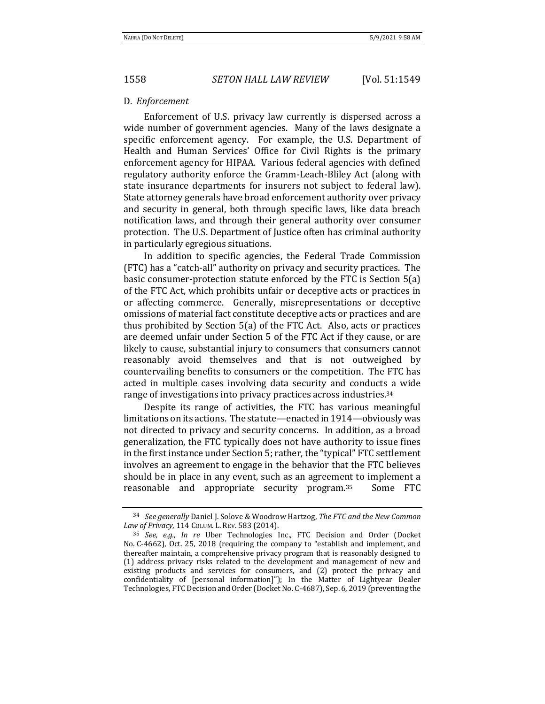#### D. *Enforcement*

Enforcement of U.S. privacy law currently is dispersed across a wide number of government agencies. Many of the laws designate a specific enforcement agency. For example, the U.S. Department of Health and Human Services' Office for Civil Rights is the primary enforcement agency for HIPAA. Various federal agencies with defined regulatory authority enforce the Gramm-Leach-Bliley Act (along with state insurance departments for insurers not subject to federal law). State attorney generals have broad enforcement authority over privacy and security in general, both through specific laws, like data breach notification laws, and through their general authority over consumer protection. The U.S. Department of Justice often has criminal authority in particularly egregious situations.

In addition to specific agencies, the Federal Trade Commission (FTC) has a "catch-all" authority on privacy and security practices. The basic consumer-protection statute enforced by the FTC is Section 5(a) of the FTC Act, which prohibits unfair or deceptive acts or practices in or affecting commerce. Generally, misrepresentations or deceptive omissions of material fact constitute deceptive acts or practices and are thus prohibited by Section 5(a) of the FTC Act. Also, acts or practices are deemed unfair under Section 5 of the FTC Act if they cause, or are likely to cause, substantial injury to consumers that consumers cannot reasonably avoid themselves and that is not outweighed by countervailing benefits to consumers or the competition. The FTC has acted in multiple cases involving data security and conducts a wide range of investigations into privacy practices across industries.<sup>34</sup>

Despite its range of activities, the FTC has various meaningful limitations on its actions. The statute—enacted in 1914—obviously was not directed to privacy and security concerns. In addition, as a broad generalization, the FTC typically does not have authority to issue fines in the first instance under Section 5; rather, the "typical" FTC settlement involves an agreement to engage in the behavior that the FTC believes should be in place in any event, such as an agreement to implement a reasonable and appropriate security program.<sup>35</sup> Some FTC

<sup>34</sup> *See generally* Daniel J. Solove & Woodrow Hartzog, *The FTC and the New Common Law of Privacy*, 114 COLUM. L. REV. 583 (2014).

<sup>35</sup> *See, e.g.*, *In re* Uber Technologies Inc., FTC Decision and Order (Docket No. C-4662), Oct. 25, 2018 (requiring the company to "establish and implement, and thereafter maintain, a comprehensive privacy program that is reasonably designed to (1) address privacy risks related to the development and management of new and existing products and services for consumers, and (2) protect the privacy and confidentiality of [personal information]"); In the Matter of Lightyear Dealer Technologies, FTC Decision and Order (Docket No. C-4687), Sep. 6, 2019 (preventing the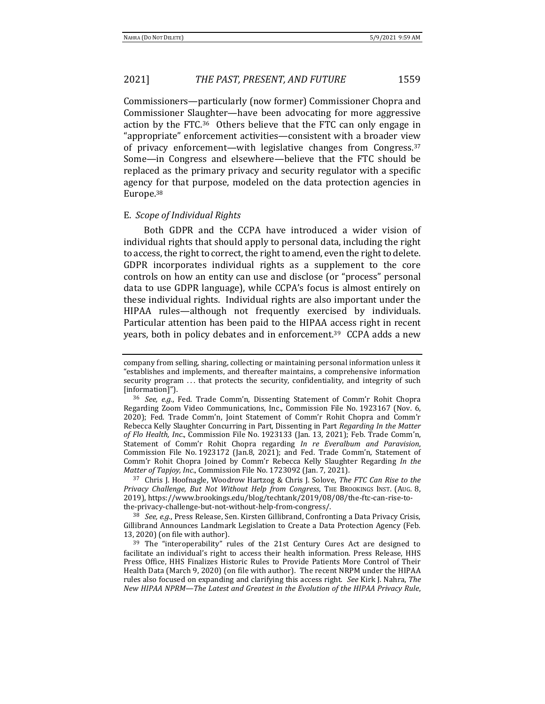Commissioners—particularly (now former) Commissioner Chopra and Commissioner Slaughter—have been advocating for more aggressive action by the FTC.36 Others believe that the FTC can only engage in "appropriate" enforcement activities—consistent with a broader view of privacy enforcement—with legislative changes from Congress.<sup>37</sup> Some—in Congress and elsewhere—believe that the FTC should be replaced as the primary privacy and security regulator with a specific agency for that purpose, modeled on the data protection agencies in Europe.<sup>38</sup>

#### E. *Scope of Individual Rights*

Both GDPR and the CCPA have introduced a wider vision of individual rights that should apply to personal data, including the right to access, the right to correct, the right to amend, even the right to delete. GDPR incorporates individual rights as a supplement to the core controls on how an entity can use and disclose (or "process" personal data to use GDPR language), while CCPA's focus is almost entirely on these individual rights. Individual rights are also important under the HIPAA rules—although not frequently exercised by individuals. Particular attention has been paid to the HIPAA access right in recent years, both in policy debates and in enforcement.39 CCPA adds a new

<sup>37</sup> Chris J. Hoofnagle, Woodrow Hartzog & Chris J. Solove, *The FTC Can Rise to the Privacy Challenge, But Not Without Help from Congress*, THE BROOKINGS INST. (AUG. 8, 2019), https://www.brookings.edu/blog/techtank/2019/08/08/the-ftc-can-rise-tothe-privacy-challenge-but-not-without-help-from-congress/.

<sup>38</sup> *See, e.g.*, Press Release, Sen. Kirsten Gillibrand, Confronting a Data Privacy Crisis, Gillibrand Announces Landmark Legislation to Create a Data Protection Agency (Feb. 13, 2020) (on file with author).

company from selling, sharing, collecting or maintaining personal information unless it "establishes and implements, and thereafter maintains, a comprehensive information security program ... that protects the security, confidentiality, and integrity of such [information]").

<sup>36</sup> *See, e.g.*, Fed. Trade Comm'n, Dissenting Statement of Comm'r Rohit Chopra Regarding Zoom Video Communications, Inc., Commission File No. 1923167 (Nov. 6, 2020); Fed. Trade Comm'n, Joint Statement of Comm'r Rohit Chopra and Comm'r Rebecca Kelly Slaughter Concurring in Part, Dissenting in Part *Regarding In the Matter of Flo Health, Inc*., Commission File No. 1923133 (Jan. 13, 2021); Feb. Trade Comm'n, Statement of Comm'r Rohit Chopra regarding *In re Everalbum and Paravision*, Commission File No. 1923172 (Jan.8, 2021); and Fed. Trade Comm'n, Statement of Comm'r Rohit Chopra Joined by Comm'r Rebecca Kelly Slaughter Regarding *In the Matter of Tapjoy, Inc*., Commission File No. 1723092 (Jan. 7, 2021).

<sup>39</sup> The "interoperability" rules of the 21st Century Cures Act are designed to facilitate an individual's right to access their health information. Press Release, HHS Press Office, HHS Finalizes Historic Rules to Provide Patients More Control of Their Health Data (March 9, 2020) (on file with author). The recent NRPM under the HIPAA rules also focused on expanding and clarifying this access right. *See* Kirk J. Nahra, *The New HIPAA NPRM—The Latest and Greatest in the Evolution of the HIPAA Privacy Rule*,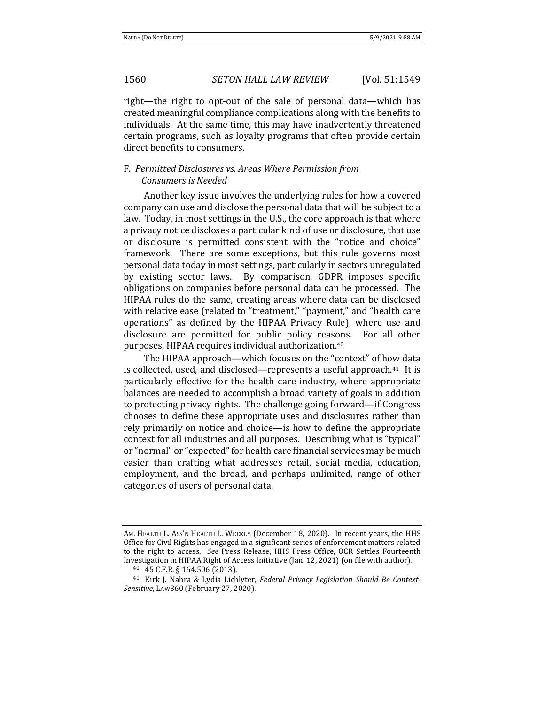right—the right to opt-out of the sale of personal data—which has created meaningful compliance complications along with the benefits to individuals. At the same time, this may have inadvertently threatened certain programs, such as loyalty programs that often provide certain direct benefits to consumers.

## F. *Permitted Disclosures vs. Areas Where Permission from Consumers is Needed*

Another key issue involves the underlying rules for how a covered company can use and disclose the personal data that will be subject to a law. Today, in most settings in the U.S., the core approach is that where a privacy notice discloses a particular kind of use or disclosure, that use or disclosure is permitted consistent with the "notice and choice" framework. There are some exceptions, but this rule governs most personal data today in most settings, particularly in sectors unregulated by existing sector laws. By comparison, GDPR imposes specific obligations on companies before personal data can be processed. The HIPAA rules do the same, creating areas where data can be disclosed with relative ease (related to "treatment," "payment," and "health care operations" as defined by the HIPAA Privacy Rule), where use and disclosure are permitted for public policy reasons. For all other purposes, HIPAA requires individual authorization.<sup>40</sup>

The HIPAA approach—which focuses on the "context" of how data is collected, used, and disclosed—represents a useful approach.41 It is particularly effective for the health care industry, where appropriate balances are needed to accomplish a broad variety of goals in addition to protecting privacy rights. The challenge going forward—if Congress chooses to define these appropriate uses and disclosures rather than rely primarily on notice and choice—is how to define the appropriate context for all industries and all purposes. Describing what is "typical" or "normal" or "expected" for health care financial services may be much easier than crafting what addresses retail, social media, education, employment, and the broad, and perhaps unlimited, range of other categories of users of personal data.

AM. HEALTH L. ASS'N HEALTH L. WEEKLY (December 18, 2020). In recent years, the HHS Office for Civil Rights has engaged in a significant series of enforcement matters related to the right to access. *See* Press Release, HHS Press Office, OCR Settles Fourteenth Investigation in HIPAA Right of Access Initiative (Jan. 12, 2021) (on file with author).

<sup>40</sup> 45 C.F.R. § 164.506 (2013).

<sup>41</sup> Kirk J. Nahra & Lydia Lichlyter, *Federal Privacy Legislation Should Be Context-Sensitive*, LAW360 (February 27, 2020).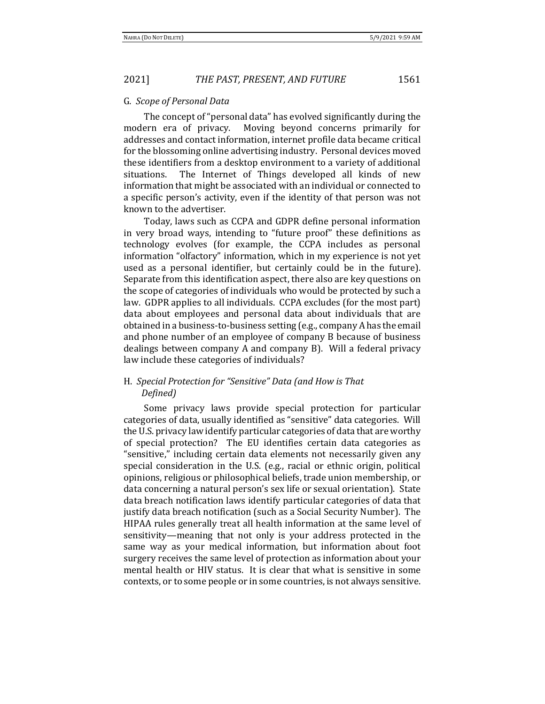#### G. *Scope of Personal Data*

The concept of "personal data" has evolved significantly during the modern era of privacy. Moving beyond concerns primarily for addresses and contact information, internet profile data became critical for the blossoming online advertising industry. Personal devices moved these identifiers from a desktop environment to a variety of additional situations. The Internet of Things developed all kinds of new information that might be associated with an individual or connected to a specific person's activity, even if the identity of that person was not known to the advertiser.

Today, laws such as CCPA and GDPR define personal information in very broad ways, intending to "future proof" these definitions as technology evolves (for example, the CCPA includes as personal information "olfactory" information, which in my experience is not yet used as a personal identifier, but certainly could be in the future). Separate from this identification aspect, there also are key questions on the scope of categories of individuals who would be protected by such a law. GDPR applies to all individuals. CCPA excludes (for the most part) data about employees and personal data about individuals that are obtained in a business-to-business setting (e.g., company A has the email and phone number of an employee of company B because of business dealings between company A and company B). Will a federal privacy law include these categories of individuals?

## H. *Special Protection for "Sensitive" Data (and How is That Defined)*

Some privacy laws provide special protection for particular categories of data, usually identified as "sensitive" data categories. Will the U.S. privacy law identify particular categories of data that are worthy of special protection? The EU identifies certain data categories as "sensitive," including certain data elements not necessarily given any special consideration in the U.S. (e.g., racial or ethnic origin, political opinions, religious or philosophical beliefs, trade union membership, or data concerning a natural person's sex life or sexual orientation). State data breach notification laws identify particular categories of data that justify data breach notification (such as a Social Security Number). The HIPAA rules generally treat all health information at the same level of sensitivity—meaning that not only is your address protected in the same way as your medical information, but information about foot surgery receives the same level of protection as information about your mental health or HIV status. It is clear that what is sensitive in some contexts, or to some people or in some countries, is not always sensitive.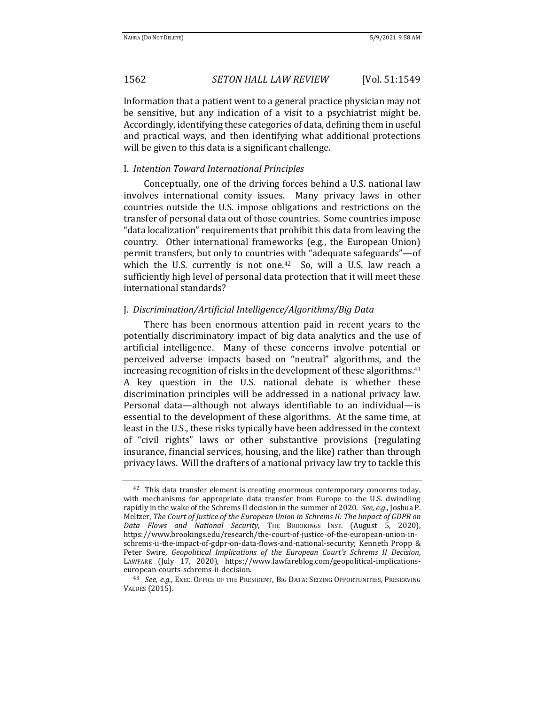Information that a patient went to a general practice physician may not be sensitive, but any indication of a visit to a psychiatrist might be. Accordingly, identifying these categories of data, defining them in useful and practical ways, and then identifying what additional protections will be given to this data is a significant challenge.

### I. *Intention Toward International Principles*

Conceptually, one of the driving forces behind a U.S. national law involves international comity issues. Many privacy laws in other countries outside the U.S. impose obligations and restrictions on the transfer of personal data out of those countries. Some countries impose "data localization" requirements that prohibit this data from leaving the country. Other international frameworks (e.g., the European Union) permit transfers, but only to countries with "adequate safeguards"—of which the U.S. currently is not one.<sup>42</sup> So, will a U.S. law reach a sufficiently high level of personal data protection that it will meet these international standards?

#### J. *Discrimination/Artificial Intelligence/Algorithms/Big Data*

There has been enormous attention paid in recent years to the potentially discriminatory impact of big data analytics and the use of artificial intelligence. Many of these concerns involve potential or perceived adverse impacts based on "neutral" algorithms, and the increasing recognition of risks in the development of these algorithms.<sup>43</sup> A key question in the U.S. national debate is whether these discrimination principles will be addressed in a national privacy law. Personal data—although not always identifiable to an individual—is essential to the development of these algorithms. At the same time, at least in the U.S., these risks typically have been addressed in the context of "civil rights" laws or other substantive provisions (regulating insurance, financial services, housing, and the like) rather than through privacy laws. Will the drafters of a national privacy law try to tackle this

<sup>42</sup> This data transfer element is creating enormous contemporary concerns today, with mechanisms for appropriate data transfer from Europe to the U.S. dwindling rapidly in the wake of the Schrems II decision in the summer of 2020. *See, e.g.*, Joshua P. Meltzer, *The Court of Justice of the European Union in Schrems II: The Impact of GDPR on Data Flows and National Security*, THE BROOKINGS INST. (August 5, 2020), https://www.brookings.edu/research/the-court-of-justice-of-the-european-union-inschrems-ii-the-impact-of-gdpr-on-data-flows-and-national-security; Kenneth Propp & Peter Swire, *Geopolitical Implications of the European Court's Schrems II Decision*, LAWFARE (July 17, 2020), https://www.lawfareblog.com/geopolitical-implicationseuropean-courts-schrems-ii-decision.

<sup>43</sup> *See, e.g.*, EXEC. OFFICE OF THE PRESIDENT, BIG DATA: SEIZING OPPORTUNITIES, PRESERVING VALUES (2015).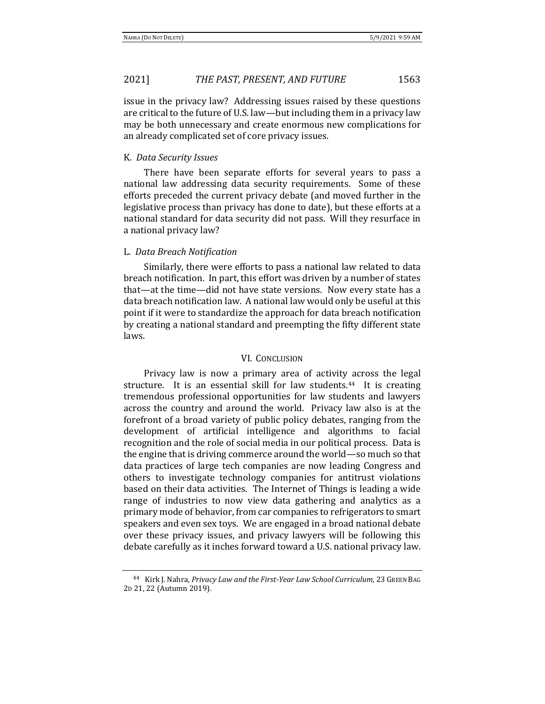issue in the privacy law? Addressing issues raised by these questions are critical to the future of U.S. law—but including them in a privacy law may be both unnecessary and create enormous new complications for an already complicated set of core privacy issues.

## K. *Data Security Issues*

There have been separate efforts for several years to pass a national law addressing data security requirements. Some of these efforts preceded the current privacy debate (and moved further in the legislative process than privacy has done to date), but these efforts at a national standard for data security did not pass. Will they resurface in a national privacy law?

## L. *Data Breach Notification*

Similarly, there were efforts to pass a national law related to data breach notification. In part, this effort was driven by a number of states that—at the time—did not have state versions. Now every state has a data breach notification law. A national law would only be useful at this point if it were to standardize the approach for data breach notification by creating a national standard and preempting the fifty different state laws.

### VI. CONCLUSION

Privacy law is now a primary area of activity across the legal structure. It is an essential skill for law students.<sup>44</sup> It is creating tremendous professional opportunities for law students and lawyers across the country and around the world. Privacy law also is at the forefront of a broad variety of public policy debates, ranging from the development of artificial intelligence and algorithms to facial recognition and the role of social media in our political process. Data is the engine that is driving commerce around the world—so much so that data practices of large tech companies are now leading Congress and others to investigate technology companies for antitrust violations based on their data activities. The Internet of Things is leading a wide range of industries to now view data gathering and analytics as a primary mode of behavior, from car companies to refrigerators to smart speakers and even sex toys. We are engaged in a broad national debate over these privacy issues, and privacy lawyers will be following this debate carefully as it inches forward toward a U.S. national privacy law.

<sup>44</sup> Kirk J. Nahra, *Privacy Law and the First-Year Law School Curriculum*, 23 GREEN BAG 2D 21, 22 (Autumn 2019).